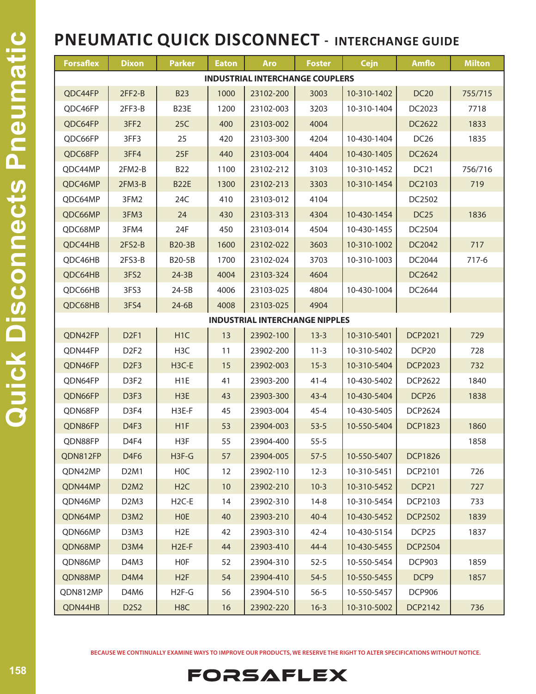| <b>Forsaflex</b>                       | <b>Dixon</b>                  | <b>Parker</b>     | <b>Eaton</b> | <b>Aro</b> | <b>Foster</b> | <b>Cejn</b> | <b>Amflo</b>      | <b>Milton</b> |  |  |
|----------------------------------------|-------------------------------|-------------------|--------------|------------|---------------|-------------|-------------------|---------------|--|--|
| <b>INDUSTRIAL INTERCHANGE COUPLERS</b> |                               |                   |              |            |               |             |                   |               |  |  |
| QDC44FP                                | $2FF2-B$                      | <b>B23</b>        | 1000         | 23102-200  | 3003          | 10-310-1402 | <b>DC20</b>       | 755/715       |  |  |
| QDC46FP                                | $2FF3-B$                      | B <sub>23</sub> E | 1200         | 23102-003  | 3203          | 10-310-1404 | DC2023            | 7718          |  |  |
| QDC64FP                                | 3FF <sub>2</sub>              | 25C               | 400          | 23103-002  | 4004          |             | DC2622            | 1833          |  |  |
| QDC66FP                                | 3FF3                          | 25                | 420          | 23103-300  | 4204          | 10-430-1404 | DC <sub>26</sub>  | 1835          |  |  |
| QDC68FP                                | 3FF4                          | 25F               | 440          | 23103-004  | 4404          | 10-430-1405 | DC2624            |               |  |  |
| QDC44MP                                | 2FM2-B                        | <b>B22</b>        | 1100         | 23102-212  | 3103          | 10-310-1452 | DC <sub>21</sub>  | 756/716       |  |  |
| QDC46MP                                | $2FM3-B$                      | <b>B22E</b>       | 1300         | 23102-213  | 3303          | 10-310-1454 | DC2103            | 719           |  |  |
| QDC64MP                                | 3FM2                          | 24C               | 410          | 23103-012  | 4104          |             | DC2502            |               |  |  |
| QDC66MP                                | 3FM3                          | 24                | 430          | 23103-313  | 4304          | 10-430-1454 | <b>DC25</b>       | 1836          |  |  |
| QDC68MP                                | 3FM4                          | 24F               | 450          | 23103-014  | 4504          | 10-430-1455 | DC2504            |               |  |  |
| QDC44HB                                | $2FS2-B$                      | <b>B20-3B</b>     | 1600         | 23102-022  | 3603          | 10-310-1002 | DC2042            | 717           |  |  |
| QDC46HB                                | $2FS3-B$                      | B20-5B            | 1700         | 23102-024  | 3703          | 10-310-1003 | DC2044            | 717-6         |  |  |
| QDC64HB                                | 3FS2                          | $24-3B$           | 4004         | 23103-324  | 4604          |             | DC2642            |               |  |  |
| QDC66HB                                | 3FS3                          | $24-5B$           | 4006         | 23103-025  | 4804          | 10-430-1004 | DC2644            |               |  |  |
| QDC68HB                                | 3FS4                          | $24-6B$           | 4008         | 23103-025  | 4904          |             |                   |               |  |  |
| <b>INDUSTRIAL INTERCHANGE NIPPLES</b>  |                               |                   |              |            |               |             |                   |               |  |  |
| QDN42FP                                | D <sub>2F1</sub>              | H <sub>1</sub> C  | 13           | 23902-100  | $13-3$        | 10-310-5401 | <b>DCP2021</b>    | 729           |  |  |
| QDN44FP                                | D <sub>2F<sub>2</sub></sub>   | H <sub>3</sub> C  | 11           | 23902-200  | $11 - 3$      | 10-310-5402 | DCP <sub>20</sub> | 728           |  |  |
| QDN46FP                                | D <sub>2F3</sub>              | H3C-E             | 15           | 23902-003  | $15-3$        | 10-310-5404 | <b>DCP2023</b>    | 732           |  |  |
| QDN64FP                                | D <sub>3F2</sub>              | H <sub>1</sub> E  | 41           | 23903-200  | $41 - 4$      | 10-430-5402 | DCP2622           | 1840          |  |  |
| QDN66FP                                | D <sub>3F3</sub>              | H <sub>3</sub> E  | 43           | 23903-300  | $43 - 4$      | 10-430-5404 | DCP <sub>26</sub> | 1838          |  |  |
| QDN68FP                                | D <sub>3F4</sub>              | H3E-F             | 45           | 23903-004  | $45 - 4$      | 10-430-5405 | DCP2624           |               |  |  |
| QDN86FP                                | D <sub>4F3</sub>              | H <sub>1F</sub>   | 53           | 23904-003  | $53 - 5$      | 10-550-5404 | <b>DCP1823</b>    | 1860          |  |  |
| QDN88FP                                | D <sub>4F4</sub>              | H3F               | 55           | 23904-400  | $55 - 5$      |             |                   | 1858          |  |  |
| QDN812FP                               | D <sub>4F6</sub>              | $H3F-G$           | 57           | 23904-005  | $57-5$        | 10-550-5407 | <b>DCP1826</b>    |               |  |  |
| QDN42MP                                | D <sub>2</sub> M <sub>1</sub> | H0C               | 12           | 23902-110  | $12-3$        | 10-310-5451 | DCP2101           | 726           |  |  |
| QDN44MP                                | D2M2                          | H <sub>2</sub> C  | 10           | 23902-210  | $10-3$        | 10-310-5452 | DCP21             | 727           |  |  |
| QDN46MP                                | D <sub>2</sub> M <sub>3</sub> | $H2C-E$           | 14           | 23902-310  | $14 - 8$      | 10-310-5454 | DCP2103           | 733           |  |  |
| QDN64MP                                | D3M2                          | <b>HOE</b>        | 40           | 23903-210  | $40 - 4$      | 10-430-5452 | <b>DCP2502</b>    | 1839          |  |  |
| QDN66MP                                | D3M3                          | H <sub>2</sub> E  | 42           | 23903-310  | $42 - 4$      | 10-430-5154 | DCP <sub>25</sub> | 1837          |  |  |
| QDN68MP                                | D3M4                          | $H2E-F$           | 44           | 23903-410  | $44 - 4$      | 10-430-5455 | <b>DCP2504</b>    |               |  |  |
| QDN86MP                                | D4M3                          | HOF               | 52           | 23904-310  | $52-5$        | 10-550-5454 | <b>DCP903</b>     | 1859          |  |  |
| QDN88MP                                | D <sub>4</sub> M <sub>4</sub> | H2F               | 54           | 23904-410  | $54-5$        | 10-550-5455 | DCP9              | 1857          |  |  |
| QDN812MP                               | D4M6                          | $H2F-G$           | 56           | 23904-510  | $56 - 5$      | 10-550-5457 | <b>DCP906</b>     |               |  |  |
| QDN44HB                                | D2S2                          | H <sub>8</sub> C  | 16           | 23902-220  | $16 - 3$      | 10-310-5002 | <b>DCP2142</b>    | 736           |  |  |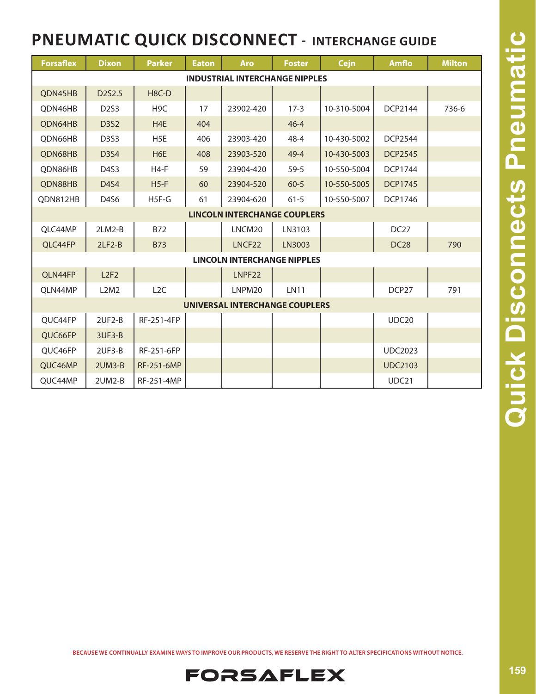| <b>Forsaflex</b>                      | <b>Dixon</b>                       | <b>Parker</b>      | <b>Eaton</b> | <b>Aro</b>         | <b>Foster</b> | <b>Cejn</b> | Amflo            | <b>Milton</b> |  |  |
|---------------------------------------|------------------------------------|--------------------|--------------|--------------------|---------------|-------------|------------------|---------------|--|--|
| <b>INDUSTRIAL INTERCHANGE NIPPLES</b> |                                    |                    |              |                    |               |             |                  |               |  |  |
| QDN45HB                               | D2S2.5                             | H <sub>8</sub> C-D |              |                    |               |             |                  |               |  |  |
| QDN46HB                               | D <sub>2</sub> S <sub>3</sub>      | H <sub>9</sub> C   | 17           | 23902-420          | $17-3$        | 10-310-5004 | DCP2144          | 736-6         |  |  |
| QDN64HB                               | <b>D3S2</b>                        | H <sub>4</sub> E   | 404          |                    | $46 - 4$      |             |                  |               |  |  |
| QDN66HB                               | D <sub>3</sub> S <sub>3</sub>      | H <sub>5</sub> E   | 406          | 23903-420          | $48 - 4$      | 10-430-5002 | <b>DCP2544</b>   |               |  |  |
| QDN68HB                               | D3S4                               | H <sub>6</sub> E   | 408          | 23903-520          | $49 - 4$      | 10-430-5003 | <b>DCP2545</b>   |               |  |  |
| QDN86HB                               | D <sub>4</sub> S <sub>3</sub>      | $H4-F$             | 59           | 23904-420          | $59 - 5$      | 10-550-5004 | <b>DCP1744</b>   |               |  |  |
| QDN88HB                               | <b>D4S4</b>                        | $H5-F$             | 60           | 23904-520          | $60 - 5$      | 10-550-5005 | <b>DCP1745</b>   |               |  |  |
| QDN812HB                              | D4S6                               | H5F-G              | 61           | 23904-620          | $61 - 5$      | 10-550-5007 | DCP1746          |               |  |  |
| <b>LINCOLN INTERCHANGE COUPLERS</b>   |                                    |                    |              |                    |               |             |                  |               |  |  |
| QLC44MP                               | $2LM2-B$                           | <b>B72</b>         |              | LNCM20             | LN3103        |             | DC <sub>27</sub> |               |  |  |
| QLC44FP                               | $2LF2-B$                           | <b>B73</b>         |              | LNCF <sub>22</sub> | LN3003        |             | DC <sub>28</sub> | 790           |  |  |
|                                       | <b>LINCOLN INTERCHANGE NIPPLES</b> |                    |              |                    |               |             |                  |               |  |  |
| QLN44FP                               | L2F2                               |                    |              | LNPF22             |               |             |                  |               |  |  |
| QLN44MP                               | L2M2                               | L <sub>2</sub> C   |              | LNPM20             | <b>LN11</b>   |             | DCP27            | 791           |  |  |
| UNIVERSAL INTERCHANGE COUPLERS        |                                    |                    |              |                    |               |             |                  |               |  |  |
| QUC44FP                               | 2UF2-B                             | RF-251-4FP         |              |                    |               |             | UDC20            |               |  |  |
| QUC66FP                               | 3UF3-B                             |                    |              |                    |               |             |                  |               |  |  |
| OUC46FP                               | $2UF3-B$                           | RF-251-6FP         |              |                    |               |             | <b>UDC2023</b>   |               |  |  |
| QUC46MP                               | $2UM3-B$                           | RF-251-6MP         |              |                    |               |             | <b>UDC2103</b>   |               |  |  |
| QUC44MP                               | 2UM2-B                             | RF-251-4MP         |              |                    |               |             | UDC21            |               |  |  |

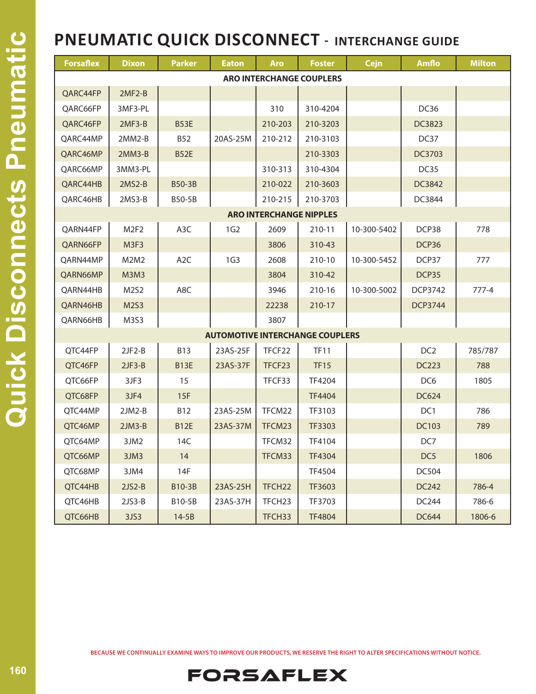| <b>Forsaflex</b>                | <b>Dixon</b>      | <b>Parker</b>    | <b>Eaton</b>    | <b>Aro</b>         | <b>Foster</b>                          | <b>Cejn</b> | <b>Amflo</b>    | <b>Milton</b> |  |
|---------------------------------|-------------------|------------------|-----------------|--------------------|----------------------------------------|-------------|-----------------|---------------|--|
| <b>ARO INTERCHANGE COUPLERS</b> |                   |                  |                 |                    |                                        |             |                 |               |  |
| QARC44FP                        | $2MF2-B$          |                  |                 |                    |                                        |             |                 |               |  |
| QARC66FP                        | 3MF3-PL           |                  |                 | 310                | 310-4204                               |             | DC36            |               |  |
| QARC46FP                        | $2MF3-B$          | <b>B53E</b>      |                 | 210-203            | 210-3203                               |             | DC3823          |               |  |
| QARC44MP                        | $2MM2-B$          | <b>B52</b>       | 20AS-25M        | 210-212            | 210-3103                               |             | DC37            |               |  |
| QARC46MP                        | $2MM3-B$          | <b>B52E</b>      |                 |                    | 210-3303                               |             | DC3703          |               |  |
| QARC66MP                        | 3MM3-PL           |                  |                 | 310-313            | 310-4304                               |             | DC35            |               |  |
| QARC44HB                        | $2MS2-B$          | <b>B50-3B</b>    |                 | 210-022            | 210-3603                               |             | DC3842          |               |  |
| QARC46HB                        | 2MS3-B            | B50-5B           |                 | 210-215            | 210-3703                               |             | DC3844          |               |  |
| <b>ARO INTERCHANGE NIPPLES</b>  |                   |                  |                 |                    |                                        |             |                 |               |  |
| QARN44FP                        | M <sub>2F2</sub>  | A <sub>3</sub> C | 1G2             | 2609               | 210-11                                 | 10-300-5402 | DCP38           | 778           |  |
| QARN66FP                        | M3F3              |                  |                 | 3806               | 310-43                                 |             | DCP36           |               |  |
| QARN44MP                        | M2M2              | A <sub>2</sub> C | 1G <sub>3</sub> | 2608               | 210-10                                 | 10-300-5452 | DCP37           | 777           |  |
| QARN66MP                        | <b>M3M3</b>       |                  |                 | 3804               | 310-42                                 |             | DCP35           |               |  |
| QARN44HB                        | M2S2              | A8C              |                 | 3946               | 210-16                                 | 10-300-5002 | <b>DCP3742</b>  | $777-4$       |  |
| QARN46HB                        | M2S3              |                  |                 | 22238              | 210-17                                 |             | <b>DCP3744</b>  |               |  |
| QARN66HB                        | M3S3              |                  |                 | 3807               |                                        |             |                 |               |  |
|                                 |                   |                  |                 |                    | <b>AUTOMOTIVE INTERCHANGE COUPLERS</b> |             |                 |               |  |
| QTC44FP                         | $2JF2-B$          | <b>B13</b>       | 23AS-25F        | TFCF22             | <b>TF11</b>                            |             | DC <sub>2</sub> | 785/787       |  |
| QTC46FP                         | $2JF3-B$          | <b>B13E</b>      | 23AS-37F        | TFCF23             | <b>TF15</b>                            |             | <b>DC223</b>    | 788           |  |
| QTC66FP                         | 3JF3              | 15               |                 | TFCF33             | <b>TF4204</b>                          |             | DC6             | 1805          |  |
| QTC68FP                         | 3JF4              | 15F              |                 |                    | <b>TF4404</b>                          |             | DC624           |               |  |
| QTC44MP                         | $2JM2-B$          | <b>B12</b>       | 23AS-25M        | TFCM22             | TF3103                                 |             | DC1             | 786           |  |
| QTC46MP                         | $2JM3-B$          | <b>B12E</b>      | 23AS-37M        | TFCM23             | TF3303                                 |             | DC103           | 789           |  |
| QTC64MP                         | 3JM2              | 14C              |                 | TFCM32             | TF4104                                 |             | DC7             |               |  |
| QTC66MP                         | 3JM3              | 14               |                 | TFCM33             | TF4304                                 |             | DC <sub>5</sub> | 1806          |  |
| QTC68MP                         | 3JM4              | 14F              |                 |                    | TF4504                                 |             | DC504           |               |  |
| QTC44HB                         | $2JS2-B$          | B10-3B           | 23AS-25H        | TFCH <sub>22</sub> | TF3603                                 |             | DC242           | 786-4         |  |
| QTC46HB                         | $2JS3-B$          | B10-5B           | 23AS-37H        | TFCH <sub>23</sub> | TF3703                                 |             | DC244           | 786-6         |  |
| QTC66HB                         | 3J <sub>S</sub> 3 | $14-5B$          |                 | TFCH33             | <b>TF4804</b>                          |             | <b>DC644</b>    | 1806-6        |  |